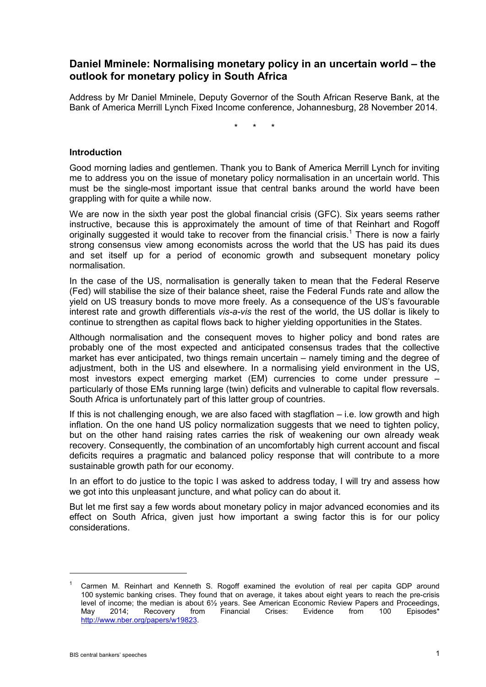# **Daniel Mminele: Normalising monetary policy in an uncertain world – the outlook for monetary policy in South Africa**

Address by Mr Daniel Mminele, Deputy Governor of the South African Reserve Bank, at the Bank of America Merrill Lynch Fixed Income conference, Johannesburg, 28 November 2014.

\* \* \*

### **Introduction**

Good morning ladies and gentlemen. Thank you to Bank of America Merrill Lynch for inviting me to address you on the issue of monetary policy normalisation in an uncertain world. This must be the single-most important issue that central banks around the world have been grappling with for quite a while now.

We are now in the sixth year post the global financial crisis (GFC). Six years seems rather instructive, because this is approximately the amount of time of that Reinhart and Rogoff originally suggested it would take to recover from the financial crisis.<sup>1</sup> There is now a fairly strong consensus view among economists across the world that the US has paid its dues and set itself up for a period of economic growth and subsequent monetary policy normalisation.

In the case of the US, normalisation is generally taken to mean that the Federal Reserve (Fed) will stabilise the size of their balance sheet, raise the Federal Funds rate and allow the yield on US treasury bonds to move more freely. As a consequence of the US's favourable interest rate and growth differentials *vis-a-vis* the rest of the world, the US dollar is likely to continue to strengthen as capital flows back to higher yielding opportunities in the States.

Although normalisation and the consequent moves to higher policy and bond rates are probably one of the most expected and anticipated consensus trades that the collective market has ever anticipated, two things remain uncertain – namely timing and the degree of adjustment, both in the US and elsewhere. In a normalising yield environment in the US, most investors expect emerging market (EM) currencies to come under pressure – particularly of those EMs running large (twin) deficits and vulnerable to capital flow reversals. South Africa is unfortunately part of this latter group of countries.

If this is not challenging enough, we are also faced with stagflation  $-$  i.e. low growth and high inflation. On the one hand US policy normalization suggests that we need to tighten policy, but on the other hand raising rates carries the risk of weakening our own already weak recovery. Consequently, the combination of an uncomfortably high current account and fiscal deficits requires a pragmatic and balanced policy response that will contribute to a more sustainable growth path for our economy.

In an effort to do justice to the topic I was asked to address today, I will try and assess how we got into this unpleasant juncture, and what policy can do about it.

But let me first say a few words about monetary policy in major advanced economies and its effect on South Africa, given just how important a swing factor this is for our policy considerations.

-

<sup>1</sup> Carmen M. Reinhart and Kenneth S. Rogoff examined the evolution of real per capita GDP around 100 systemic banking crises. They found that on average, it takes about eight years to reach the pre-crisis level of income; the median is about 6½ years. See American Economic Review Papers and Proceedings, May 2014; Recovery from Financial Crises: Evidence from 100 Episodes\* [http://www.nber.org/papers/w19823.](http://www.nber.org/papers/w19823)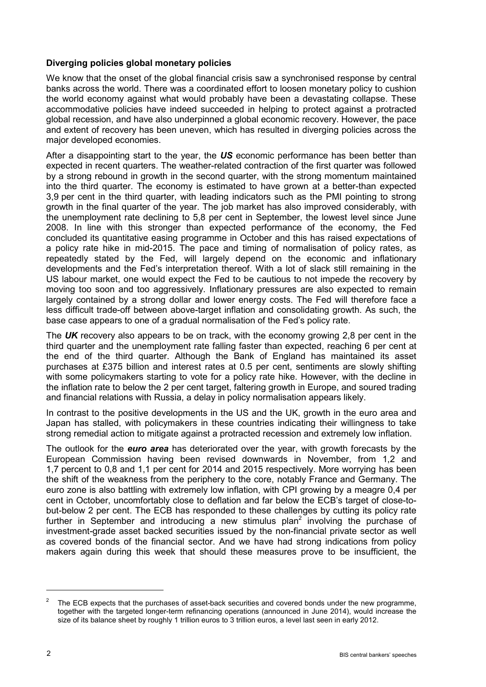## **Diverging policies global monetary policies**

We know that the onset of the global financial crisis saw a synchronised response by central banks across the world. There was a coordinated effort to loosen monetary policy to cushion the world economy against what would probably have been a devastating collapse. These accommodative policies have indeed succeeded in helping to protect against a protracted global recession, and have also underpinned a global economic recovery. However, the pace and extent of recovery has been uneven, which has resulted in diverging policies across the major developed economies.

After a disappointing start to the year, the *US* economic performance has been better than expected in recent quarters. The weather-related contraction of the first quarter was followed by a strong rebound in growth in the second quarter, with the strong momentum maintained into the third quarter. The economy is estimated to have grown at a better-than expected 3,9 per cent in the third quarter, with leading indicators such as the PMI pointing to strong growth in the final quarter of the year. The job market has also improved considerably, with the unemployment rate declining to 5,8 per cent in September, the lowest level since June 2008. In line with this stronger than expected performance of the economy, the Fed concluded its quantitative easing programme in October and this has raised expectations of a policy rate hike in mid-2015. The pace and timing of normalisation of policy rates, as repeatedly stated by the Fed, will largely depend on the economic and inflationary developments and the Fed's interpretation thereof. With a lot of slack still remaining in the US labour market, one would expect the Fed to be cautious to not impede the recovery by moving too soon and too aggressively. Inflationary pressures are also expected to remain largely contained by a strong dollar and lower energy costs. The Fed will therefore face a less difficult trade-off between above-target inflation and consolidating growth. As such, the base case appears to one of a gradual normalisation of the Fed's policy rate.

The *UK* recovery also appears to be on track, with the economy growing 2,8 per cent in the third quarter and the unemployment rate falling faster than expected, reaching 6 per cent at the end of the third quarter. Although the Bank of England has maintained its asset purchases at £375 billion and interest rates at 0.5 per cent, sentiments are slowly shifting with some policymakers starting to vote for a policy rate hike. However, with the decline in the inflation rate to below the 2 per cent target, faltering growth in Europe, and soured trading and financial relations with Russia, a delay in policy normalisation appears likely.

In contrast to the positive developments in the US and the UK, growth in the euro area and Japan has stalled, with policymakers in these countries indicating their willingness to take strong remedial action to mitigate against a protracted recession and extremely low inflation.

The outlook for the *euro area* has deteriorated over the year, with growth forecasts by the European Commission having been revised downwards in November, from 1,2 and 1,7 percent to 0,8 and 1,1 per cent for 2014 and 2015 respectively. More worrying has been the shift of the weakness from the periphery to the core, notably France and Germany. The euro zone is also battling with extremely low inflation, with CPI growing by a meagre 0,4 per cent in October, uncomfortably close to deflation and far below the ECB's target of close-tobut-below 2 per cent. The ECB has responded to these challenges by cutting its policy rate further in September and introducing a new stimulus plan<sup>2</sup> involving the purchase of investment-grade asset backed securities issued by the non-financial private sector as well as covered bonds of the financial sector. And we have had strong indications from policy makers again during this week that should these measures prove to be insufficient, the

-

<sup>2</sup> The ECB expects that the purchases of asset-back securities and covered bonds under the new programme, together with the targeted longer-term refinancing operations (announced in June 2014), would increase the size of its balance sheet by roughly 1 trillion euros to 3 trillion euros, a level last seen in early 2012.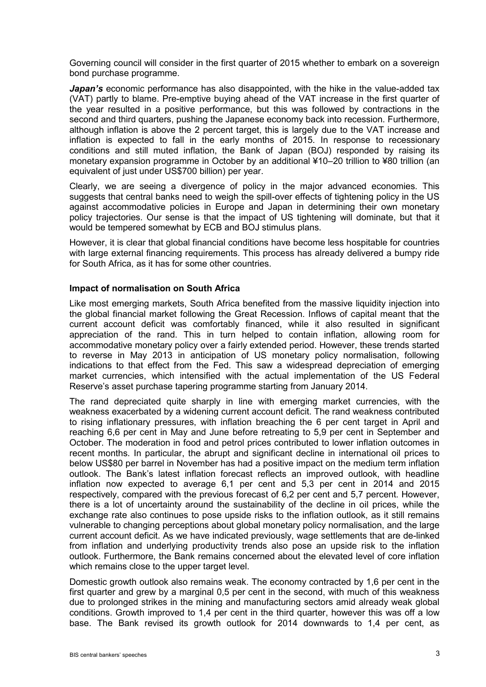Governing council will consider in the first quarter of 2015 whether to embark on a sovereign bond purchase programme.

Japan's economic performance has also disappointed, with the hike in the value-added tax (VAT) partly to blame. Pre-emptive buying ahead of the VAT increase in the first quarter of the year resulted in a positive performance, but this was followed by contractions in the second and third quarters, pushing the Japanese economy back into recession. Furthermore, although inflation is above the 2 percent target, this is largely due to the VAT increase and inflation is expected to fall in the early months of 2015. In response to recessionary conditions and still muted inflation, the Bank of Japan (BOJ) responded by raising its monetary expansion programme in October by an additional ¥10–20 trillion to ¥80 trillion (an equivalent of just under US\$700 billion) per year.

Clearly, we are seeing a divergence of policy in the major advanced economies. This suggests that central banks need to weigh the spill-over effects of tightening policy in the US against accommodative policies in Europe and Japan in determining their own monetary policy trajectories. Our sense is that the impact of US tightening will dominate, but that it would be tempered somewhat by ECB and BOJ stimulus plans.

However, it is clear that global financial conditions have become less hospitable for countries with large external financing requirements. This process has already delivered a bumpy ride for South Africa, as it has for some other countries.

#### **Impact of normalisation on South Africa**

Like most emerging markets, South Africa benefited from the massive liquidity injection into the global financial market following the Great Recession. Inflows of capital meant that the current account deficit was comfortably financed, while it also resulted in significant appreciation of the rand. This in turn helped to contain inflation, allowing room for accommodative monetary policy over a fairly extended period. However, these trends started to reverse in May 2013 in anticipation of US monetary policy normalisation, following indications to that effect from the Fed. This saw a widespread depreciation of emerging market currencies, which intensified with the actual implementation of the US Federal Reserve's asset purchase tapering programme starting from January 2014.

The rand depreciated quite sharply in line with emerging market currencies, with the weakness exacerbated by a widening current account deficit. The rand weakness contributed to rising inflationary pressures, with inflation breaching the 6 per cent target in April and reaching 6,6 per cent in May and June before retreating to 5,9 per cent in September and October. The moderation in food and petrol prices contributed to lower inflation outcomes in recent months. In particular, the abrupt and significant decline in international oil prices to below US\$80 per barrel in November has had a positive impact on the medium term inflation outlook. The Bank's latest inflation forecast reflects an improved outlook, with headline inflation now expected to average 6,1 per cent and 5,3 per cent in 2014 and 2015 respectively, compared with the previous forecast of 6,2 per cent and 5,7 percent. However, there is a lot of uncertainty around the sustainability of the decline in oil prices, while the exchange rate also continues to pose upside risks to the inflation outlook, as it still remains vulnerable to changing perceptions about global monetary policy normalisation, and the large current account deficit. As we have indicated previously, wage settlements that are de-linked from inflation and underlying productivity trends also pose an upside risk to the inflation outlook. Furthermore, the Bank remains concerned about the elevated level of core inflation which remains close to the upper target level.

Domestic growth outlook also remains weak. The economy contracted by 1,6 per cent in the first quarter and grew by a marginal 0,5 per cent in the second, with much of this weakness due to prolonged strikes in the mining and manufacturing sectors amid already weak global conditions. Growth improved to 1,4 per cent in the third quarter, however this was off a low base. The Bank revised its growth outlook for 2014 downwards to 1,4 per cent, as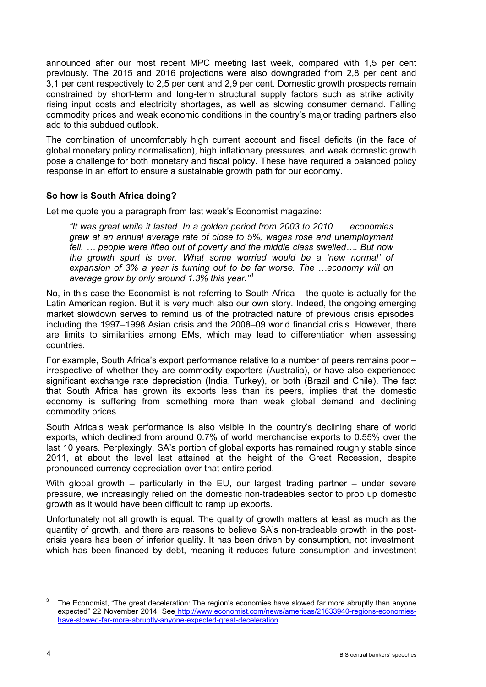announced after our most recent MPC meeting last week, compared with 1,5 per cent previously. The 2015 and 2016 projections were also downgraded from 2,8 per cent and 3,1 per cent respectively to 2,5 per cent and 2,9 per cent. Domestic growth prospects remain constrained by short-term and long-term structural supply factors such as strike activity, rising input costs and electricity shortages, as well as slowing consumer demand. Falling commodity prices and weak economic conditions in the country's major trading partners also add to this subdued outlook.

The combination of uncomfortably high current account and fiscal deficits (in the face of global monetary policy normalisation), high inflationary pressures, and weak domestic growth pose a challenge for both monetary and fiscal policy. These have required a balanced policy response in an effort to ensure a sustainable growth path for our economy.

# **So how is South Africa doing?**

Let me quote you a paragraph from last week's Economist magazine:

*"It was great while it lasted. In a golden period from 2003 to 2010 …. economies grew at an annual average rate of close to 5%, wages rose and unemployment fell, … people were lifted out of poverty and the middle class swelled…. But now the growth spurt is over. What some worried would be a 'new normal' of expansion of 3% a year is turning out to be far worse. The …economy will on average grow by only around 1.3% this year."3*

No, in this case the Economist is not referring to South Africa – the quote is actually for the Latin American region. But it is very much also our own story. Indeed, the ongoing emerging market slowdown serves to remind us of the protracted nature of previous crisis episodes, including the 1997–1998 Asian crisis and the 2008–09 world financial crisis. However, there are limits to similarities among EMs, which may lead to differentiation when assessing countries.

For example, South Africa's export performance relative to a number of peers remains poor – irrespective of whether they are commodity exporters (Australia), or have also experienced significant exchange rate depreciation (India, Turkey), or both (Brazil and Chile). The fact that South Africa has grown its exports less than its peers, implies that the domestic economy is suffering from something more than weak global demand and declining commodity prices.

South Africa's weak performance is also visible in the country's declining share of world exports, which declined from around 0.7% of world merchandise exports to 0.55% over the last 10 years. Perplexingly, SA's portion of global exports has remained roughly stable since 2011, at about the level last attained at the height of the Great Recession, despite pronounced currency depreciation over that entire period.

With global growth – particularly in the EU, our largest trading partner – under severe pressure, we increasingly relied on the domestic non-tradeables sector to prop up domestic growth as it would have been difficult to ramp up exports.

Unfortunately not all growth is equal. The quality of growth matters at least as much as the quantity of growth, and there are reasons to believe SA's non-tradeable growth in the postcrisis years has been of inferior quality. It has been driven by consumption, not investment, which has been financed by debt, meaning it reduces future consumption and investment

-

 $3$  The Economist, "The great deceleration: The region's economies have slowed far more abruptly than anyone expected" 22 November 2014. See [http://www.economist.com/news/americas/21633940-regions-economies](http://www.economist.com/news/americas/21633940-regions-economies-have-slowed-far-more-abruptly-anyone-expected-great-deceleration)[have-slowed-far-more-abruptly-anyone-expected-great-deceleration.](http://www.economist.com/news/americas/21633940-regions-economies-have-slowed-far-more-abruptly-anyone-expected-great-deceleration)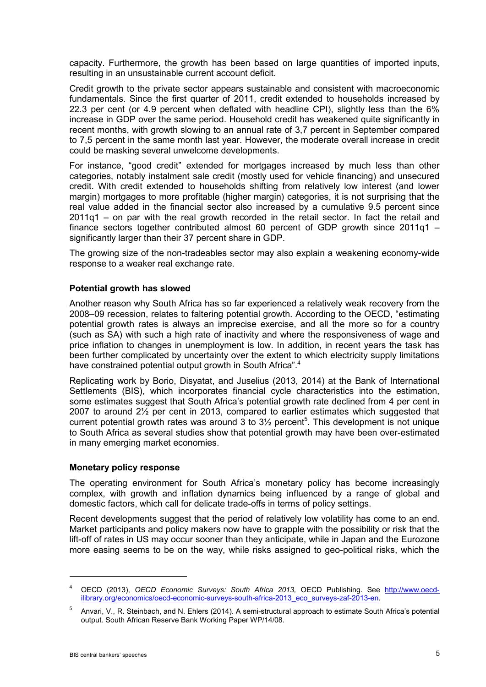capacity. Furthermore, the growth has been based on large quantities of imported inputs, resulting in an unsustainable current account deficit.

Credit growth to the private sector appears sustainable and consistent with macroeconomic fundamentals. Since the first quarter of 2011, credit extended to households increased by 22.3 per cent (or 4.9 percent when deflated with headline CPI), slightly less than the 6% increase in GDP over the same period. Household credit has weakened quite significantly in recent months, with growth slowing to an annual rate of 3,7 percent in September compared to 7,5 percent in the same month last year. However, the moderate overall increase in credit could be masking several unwelcome developments.

For instance, "good credit" extended for mortgages increased by much less than other categories, notably instalment sale credit (mostly used for vehicle financing) and unsecured credit. With credit extended to households shifting from relatively low interest (and lower margin) mortgages to more profitable (higher margin) categories, it is not surprising that the real value added in the financial sector also increased by a cumulative 9.5 percent since 2011q1 – on par with the real growth recorded in the retail sector. In fact the retail and finance sectors together contributed almost 60 percent of GDP growth since 2011q1 – significantly larger than their 37 percent share in GDP.

The growing size of the non-tradeables sector may also explain a weakening economy-wide response to a weaker real exchange rate.

#### **Potential growth has slowed**

Another reason why South Africa has so far experienced a relatively weak recovery from the 2008–09 recession, relates to faltering potential growth. According to the OECD, "estimating potential growth rates is always an imprecise exercise, and all the more so for a country (such as SA) with such a high rate of inactivity and where the responsiveness of wage and price inflation to changes in unemployment is low. In addition, in recent years the task has been further complicated by uncertainty over the extent to which electricity supply limitations have constrained potential output growth in South Africa".<sup>4</sup>

Replicating work by Borio, Disyatat, and Juselius (2013, 2014) at the Bank of International Settlements (BIS), which incorporates financial cycle characteristics into the estimation, some estimates suggest that South Africa's potential growth rate declined from 4 per cent in 2007 to around 2½ per cent in 2013, compared to earlier estimates which suggested that current potential growth rates was around 3 to  $3\frac{1}{2}$  percent<sup>5</sup>. This development is not unique to South Africa as several studies show that potential growth may have been over-estimated in many emerging market economies.

#### **Monetary policy response**

The operating environment for South Africa's monetary policy has become increasingly complex, with growth and inflation dynamics being influenced by a range of global and domestic factors, which call for delicate trade-offs in terms of policy settings.

Recent developments suggest that the period of relatively low volatility has come to an end. Market participants and policy makers now have to grapple with the possibility or risk that the lift-off of rates in US may occur sooner than they anticipate, while in Japan and the Eurozone more easing seems to be on the way, while risks assigned to geo-political risks, which the

<sup>4</sup> OECD (2013), *OECD Economic Surveys: South Africa 2013,* OECD Publishing. See [http://www.oecd](http://www.oecd-ilibrary.org/economics/oecd-economic-surveys-south-africa-2013_eco_surveys-zaf-2013-en)[ilibrary.org/economics/oecd-economic-surveys-south-africa-2013\\_eco\\_surveys-zaf-2013-en.](http://www.oecd-ilibrary.org/economics/oecd-economic-surveys-south-africa-2013_eco_surveys-zaf-2013-en)

<sup>5</sup> Anvari, V., R. Steinbach, and N. Ehlers (2014). A semi-structural approach to estimate South Africa's potential output. South African Reserve Bank Working Paper WP/14/08.